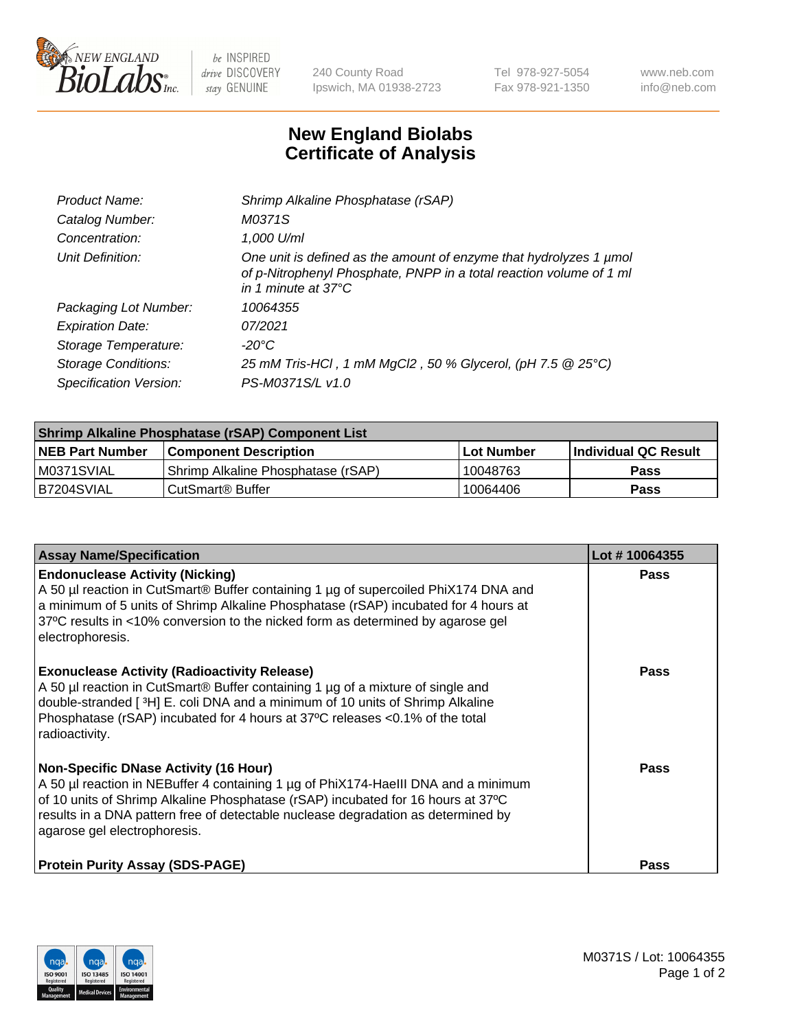

 $be$  INSPIRED drive DISCOVERY stay GENUINE

240 County Road Ipswich, MA 01938-2723 Tel 978-927-5054 Fax 978-921-1350 www.neb.com info@neb.com

## **New England Biolabs Certificate of Analysis**

| Product Name:              | Shrimp Alkaline Phosphatase (rSAP)                                                                                                                                         |
|----------------------------|----------------------------------------------------------------------------------------------------------------------------------------------------------------------------|
| Catalog Number:            | M0371S                                                                                                                                                                     |
| Concentration:             | 1,000 U/ml                                                                                                                                                                 |
| Unit Definition:           | One unit is defined as the amount of enzyme that hydrolyzes 1 µmol<br>of p-Nitrophenyl Phosphate, PNPP in a total reaction volume of 1 ml<br>in 1 minute at $37^{\circ}$ C |
| Packaging Lot Number:      | 10064355                                                                                                                                                                   |
| <b>Expiration Date:</b>    | 07/2021                                                                                                                                                                    |
| Storage Temperature:       | $-20^{\circ}$ C                                                                                                                                                            |
| <b>Storage Conditions:</b> | 25 mM Tris-HCl, 1 mM MgCl2, 50 % Glycerol, (pH 7.5 @ 25°C)                                                                                                                 |
| Specification Version:     | PS-M0371S/L v1.0                                                                                                                                                           |

| Shrimp Alkaline Phosphatase (rSAP) Component List |                                    |              |                      |  |  |
|---------------------------------------------------|------------------------------------|--------------|----------------------|--|--|
| <b>NEB Part Number</b>                            | <b>Component Description</b>       | l Lot Number | Individual QC Result |  |  |
| IM0371SVIAL                                       | Shrimp Alkaline Phosphatase (rSAP) | 10048763     | <b>Pass</b>          |  |  |
| B7204SVIAL                                        | CutSmart® Buffer                   | 10064406     | Pass                 |  |  |

| <b>Assay Name/Specification</b>                                                                                                                                                                                                                                                                                                             | Lot #10064355 |
|---------------------------------------------------------------------------------------------------------------------------------------------------------------------------------------------------------------------------------------------------------------------------------------------------------------------------------------------|---------------|
| <b>Endonuclease Activity (Nicking)</b><br>A 50 µl reaction in CutSmart® Buffer containing 1 µg of supercoiled PhiX174 DNA and<br>a minimum of 5 units of Shrimp Alkaline Phosphatase (rSAP) incubated for 4 hours at<br>37°C results in <10% conversion to the nicked form as determined by agarose gel<br>electrophoresis.                 | <b>Pass</b>   |
| <b>Exonuclease Activity (Radioactivity Release)</b><br>A 50 µl reaction in CutSmart® Buffer containing 1 µg of a mixture of single and<br>double-stranded [3H] E. coli DNA and a minimum of 10 units of Shrimp Alkaline<br>Phosphatase (rSAP) incubated for 4 hours at 37°C releases <0.1% of the total<br>radioactivity.                   | <b>Pass</b>   |
| <b>Non-Specific DNase Activity (16 Hour)</b><br>A 50 µl reaction in NEBuffer 4 containing 1 µg of PhiX174-HaellI DNA and a minimum<br>of 10 units of Shrimp Alkaline Phosphatase (rSAP) incubated for 16 hours at 37°C<br>results in a DNA pattern free of detectable nuclease degradation as determined by<br>agarose gel electrophoresis. | Pass          |
| <b>Protein Purity Assay (SDS-PAGE)</b>                                                                                                                                                                                                                                                                                                      | <b>Pass</b>   |